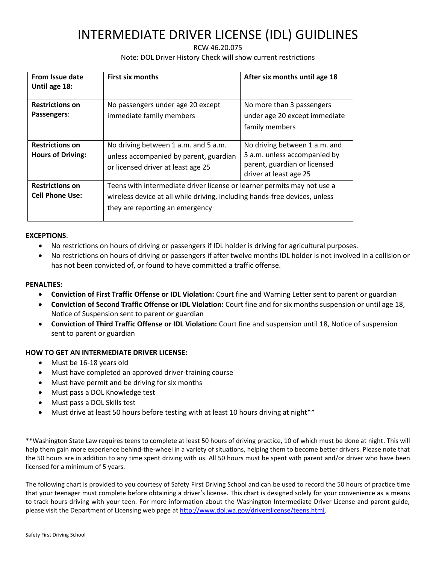# INTERMEDIATE DRIVER LICENSE (IDL) GUIDLINES

## RCW 46.20.075 Note: DOL Driver History Check will show current restrictions

| From Issue date<br>Until age 18:                   | <b>First six months</b>                                                                                                                                                                  | After six months until age 18                                                                                           |  |  |  |
|----------------------------------------------------|------------------------------------------------------------------------------------------------------------------------------------------------------------------------------------------|-------------------------------------------------------------------------------------------------------------------------|--|--|--|
| <b>Restrictions on</b><br>Passengers:              | No passengers under age 20 except<br>immediate family members                                                                                                                            | No more than 3 passengers<br>under age 20 except immediate<br>family members                                            |  |  |  |
| <b>Restrictions on</b><br><b>Hours of Driving:</b> | No driving between 1 a.m. and 5 a.m.<br>unless accompanied by parent, guardian<br>or licensed driver at least age 25                                                                     | No driving between 1 a.m. and<br>5 a.m. unless accompanied by<br>parent, guardian or licensed<br>driver at least age 25 |  |  |  |
| <b>Restrictions on</b><br><b>Cell Phone Use:</b>   | Teens with intermediate driver license or learner permits may not use a<br>wireless device at all while driving, including hands-free devices, unless<br>they are reporting an emergency |                                                                                                                         |  |  |  |

#### **EXCEPTIONS**:

- No restrictions on hours of driving or passengers if IDL holder is driving for agricultural purposes.
- No restrictions on hours of driving or passengers if after twelve months IDL holder is not involved in a collision or has not been convicted of, or found to have committed a traffic offense.

### **PENALTIES:**

- **Conviction of First Traffic Offense or IDL Violation:** Court fine and Warning Letter sent to parent or guardian
- **Conviction of Second Traffic Offense or IDL Violation:** Court fine and for six months suspension or until age 18, Notice of Suspension sent to parent or guardian
- **Conviction of Third Traffic Offense or IDL Violation:** Court fine and suspension until 18, Notice of suspension sent to parent or guardian

## **HOW TO GET AN INTERMEDIATE DRIVER LICENSE:**

- Must be 16-18 years old
- Must have completed an approved driver-training course
- Must have permit and be driving for six months
- Must pass a DOL Knowledge test
- Must pass a DOL Skills test
- Must drive at least 50 hours before testing with at least 10 hours driving at night\*\*

\*\*Washington State Law requires teens to complete at least 50 hours of driving practice, 10 of which must be done at night. This will help them gain more experience behind-the-wheel in a variety of situations, helping them to become better drivers. Please note that the 50 hours are in addition to any time spent driving with us. All 50 hours must be spent with parent and/or driver who have been licensed for a minimum of 5 years.

The following chart is provided to you courtesy of Safety First Driving School and can be used to record the 50 hours of practice time that your teenager must complete before obtaining a driver's license. This chart is designed solely for your convenience as a means to track hours driving with your teen. For more information about the Washington Intermediate Driver License and parent guide, please visit the Department of Licensing web page at [http://www.dol.wa.gov/driverslicense/teens.html.](http://www.dol.wa.gov/driverslicense/teens.html)